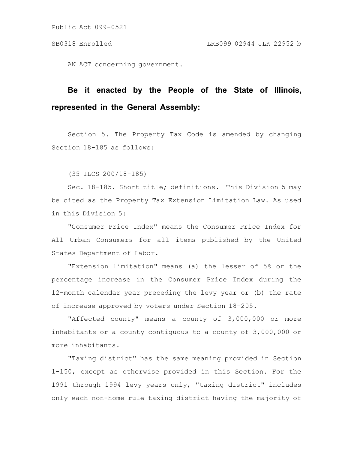AN ACT concerning government.

# **Be it enacted by the People of the State of Illinois, represented in the General Assembly:**

Section 5. The Property Tax Code is amended by changing Section 18-185 as follows:

(35 ILCS 200/18-185)

Sec. 18-185. Short title; definitions. This Division 5 may be cited as the Property Tax Extension Limitation Law. As used in this Division 5:

"Consumer Price Index" means the Consumer Price Index for All Urban Consumers for all items published by the United States Department of Labor.

"Extension limitation" means (a) the lesser of 5% or the percentage increase in the Consumer Price Index during the 12-month calendar year preceding the levy year or (b) the rate of increase approved by voters under Section 18-205.

"Affected county" means a county of 3,000,000 or more inhabitants or a county contiguous to a county of 3,000,000 or more inhabitants.

"Taxing district" has the same meaning provided in Section 1-150, except as otherwise provided in this Section. For the 1991 through 1994 levy years only, "taxing district" includes only each non-home rule taxing district having the majority of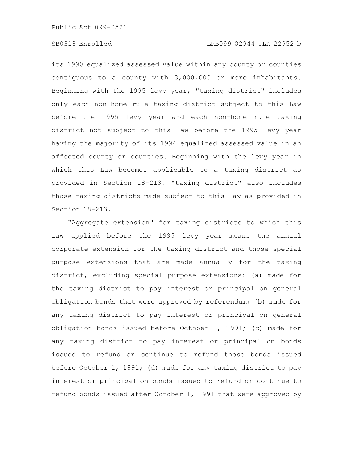### SB0318 Enrolled LRB099 02944 JLK 22952 b

its 1990 equalized assessed value within any county or counties contiguous to a county with 3,000,000 or more inhabitants. Beginning with the 1995 levy year, "taxing district" includes only each non-home rule taxing district subject to this Law before the 1995 levy year and each non-home rule taxing district not subject to this Law before the 1995 levy year having the majority of its 1994 equalized assessed value in an affected county or counties. Beginning with the levy year in which this Law becomes applicable to a taxing district as provided in Section 18-213, "taxing district" also includes those taxing districts made subject to this Law as provided in Section 18-213.

"Aggregate extension" for taxing districts to which this Law applied before the 1995 levy year means the annual corporate extension for the taxing district and those special purpose extensions that are made annually for the taxing district, excluding special purpose extensions: (a) made for the taxing district to pay interest or principal on general obligation bonds that were approved by referendum; (b) made for any taxing district to pay interest or principal on general obligation bonds issued before October 1, 1991; (c) made for any taxing district to pay interest or principal on bonds issued to refund or continue to refund those bonds issued before October 1, 1991; (d) made for any taxing district to pay interest or principal on bonds issued to refund or continue to refund bonds issued after October 1, 1991 that were approved by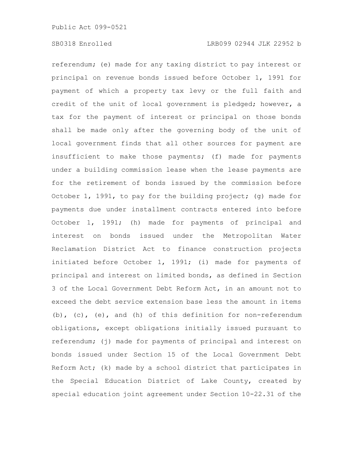referendum; (e) made for any taxing district to pay interest or principal on revenue bonds issued before October 1, 1991 for payment of which a property tax levy or the full faith and credit of the unit of local government is pledged; however, a tax for the payment of interest or principal on those bonds shall be made only after the governing body of the unit of local government finds that all other sources for payment are insufficient to make those payments; (f) made for payments under a building commission lease when the lease payments are for the retirement of bonds issued by the commission before October 1, 1991, to pay for the building project; (g) made for payments due under installment contracts entered into before October 1, 1991; (h) made for payments of principal and interest on bonds issued under the Metropolitan Water Reclamation District Act to finance construction projects initiated before October 1, 1991; (i) made for payments of principal and interest on limited bonds, as defined in Section 3 of the Local Government Debt Reform Act, in an amount not to exceed the debt service extension base less the amount in items (b), (c), (e), and (h) of this definition for non-referendum obligations, except obligations initially issued pursuant to referendum; (j) made for payments of principal and interest on bonds issued under Section 15 of the Local Government Debt Reform Act; (k) made by a school district that participates in the Special Education District of Lake County, created by special education joint agreement under Section 10-22.31 of the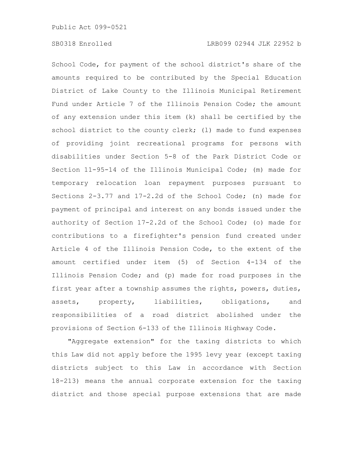School Code, for payment of the school district's share of the amounts required to be contributed by the Special Education District of Lake County to the Illinois Municipal Retirement Fund under Article 7 of the Illinois Pension Code; the amount of any extension under this item (k) shall be certified by the school district to the county clerk; (1) made to fund expenses of providing joint recreational programs for persons with disabilities under Section 5-8 of the Park District Code or Section 11-95-14 of the Illinois Municipal Code; (m) made for temporary relocation loan repayment purposes pursuant to Sections 2-3.77 and 17-2.2d of the School Code; (n) made for payment of principal and interest on any bonds issued under the authority of Section 17-2.2d of the School Code; (o) made for contributions to a firefighter's pension fund created under Article 4 of the Illinois Pension Code, to the extent of the amount certified under item (5) of Section 4-134 of the Illinois Pension Code; and (p) made for road purposes in the first year after a township assumes the rights, powers, duties, assets, property, liabilities, obligations, and responsibilities of a road district abolished under the provisions of Section 6-133 of the Illinois Highway Code.

"Aggregate extension" for the taxing districts to which this Law did not apply before the 1995 levy year (except taxing districts subject to this Law in accordance with Section 18-213) means the annual corporate extension for the taxing district and those special purpose extensions that are made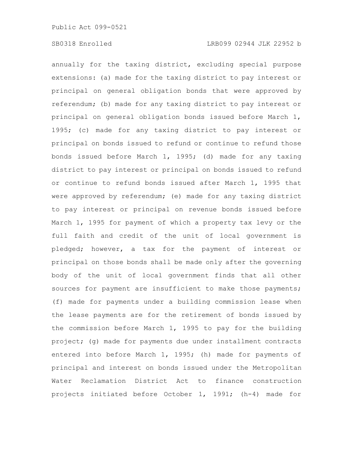annually for the taxing district, excluding special purpose extensions: (a) made for the taxing district to pay interest or principal on general obligation bonds that were approved by referendum; (b) made for any taxing district to pay interest or principal on general obligation bonds issued before March 1, 1995; (c) made for any taxing district to pay interest or principal on bonds issued to refund or continue to refund those bonds issued before March 1, 1995; (d) made for any taxing district to pay interest or principal on bonds issued to refund or continue to refund bonds issued after March 1, 1995 that were approved by referendum; (e) made for any taxing district to pay interest or principal on revenue bonds issued before March 1, 1995 for payment of which a property tax levy or the full faith and credit of the unit of local government is pledged; however, a tax for the payment of interest or principal on those bonds shall be made only after the governing body of the unit of local government finds that all other sources for payment are insufficient to make those payments; (f) made for payments under a building commission lease when the lease payments are for the retirement of bonds issued by the commission before March 1, 1995 to pay for the building project; (g) made for payments due under installment contracts entered into before March 1, 1995; (h) made for payments of principal and interest on bonds issued under the Metropolitan Water Reclamation District Act to finance construction projects initiated before October 1, 1991; (h-4) made for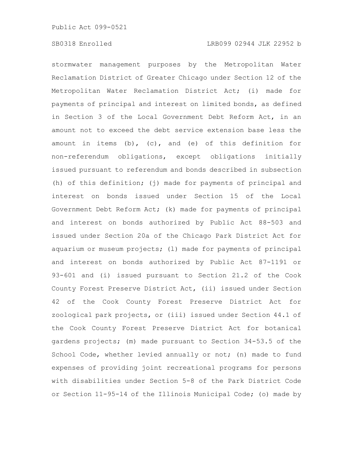stormwater management purposes by the Metropolitan Water Reclamation District of Greater Chicago under Section 12 of the Metropolitan Water Reclamation District Act; (i) made for payments of principal and interest on limited bonds, as defined in Section 3 of the Local Government Debt Reform Act, in an amount not to exceed the debt service extension base less the amount in items (b), (c), and (e) of this definition for non-referendum obligations, except obligations initially issued pursuant to referendum and bonds described in subsection (h) of this definition; (j) made for payments of principal and interest on bonds issued under Section 15 of the Local Government Debt Reform Act; (k) made for payments of principal and interest on bonds authorized by Public Act 88-503 and issued under Section 20a of the Chicago Park District Act for aquarium or museum projects; (l) made for payments of principal and interest on bonds authorized by Public Act 87-1191 or 93-601 and (i) issued pursuant to Section 21.2 of the Cook County Forest Preserve District Act, (ii) issued under Section 42 of the Cook County Forest Preserve District Act for zoological park projects, or (iii) issued under Section 44.1 of the Cook County Forest Preserve District Act for botanical gardens projects; (m) made pursuant to Section 34-53.5 of the School Code, whether levied annually or not; (n) made to fund expenses of providing joint recreational programs for persons with disabilities under Section 5-8 of the Park District Code or Section 11-95-14 of the Illinois Municipal Code; (o) made by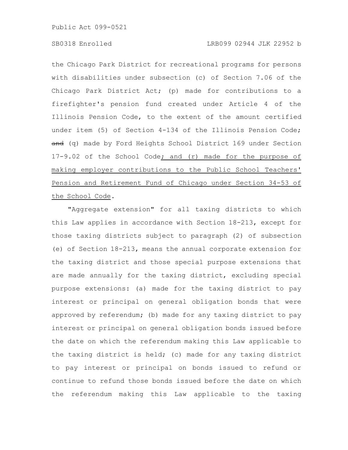the Chicago Park District for recreational programs for persons with disabilities under subsection (c) of Section 7.06 of the Chicago Park District Act; (p) made for contributions to a firefighter's pension fund created under Article 4 of the Illinois Pension Code, to the extent of the amount certified under item (5) of Section 4-134 of the Illinois Pension Code; and (q) made by Ford Heights School District 169 under Section 17-9.02 of the School Code; and (r) made for the purpose of making employer contributions to the Public School Teachers' Pension and Retirement Fund of Chicago under Section 34-53 of the School Code.

"Aggregate extension" for all taxing districts to which this Law applies in accordance with Section 18-213, except for those taxing districts subject to paragraph (2) of subsection (e) of Section 18-213, means the annual corporate extension for the taxing district and those special purpose extensions that are made annually for the taxing district, excluding special purpose extensions: (a) made for the taxing district to pay interest or principal on general obligation bonds that were approved by referendum; (b) made for any taxing district to pay interest or principal on general obligation bonds issued before the date on which the referendum making this Law applicable to the taxing district is held; (c) made for any taxing district to pay interest or principal on bonds issued to refund or continue to refund those bonds issued before the date on which the referendum making this Law applicable to the taxing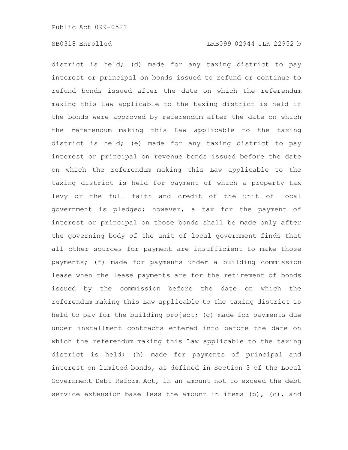district is held; (d) made for any taxing district to pay interest or principal on bonds issued to refund or continue to refund bonds issued after the date on which the referendum making this Law applicable to the taxing district is held if the bonds were approved by referendum after the date on which the referendum making this Law applicable to the taxing district is held; (e) made for any taxing district to pay interest or principal on revenue bonds issued before the date on which the referendum making this Law applicable to the taxing district is held for payment of which a property tax levy or the full faith and credit of the unit of local government is pledged; however, a tax for the payment of interest or principal on those bonds shall be made only after the governing body of the unit of local government finds that all other sources for payment are insufficient to make those payments; (f) made for payments under a building commission lease when the lease payments are for the retirement of bonds issued by the commission before the date on which the referendum making this Law applicable to the taxing district is held to pay for the building project; (g) made for payments due under installment contracts entered into before the date on which the referendum making this Law applicable to the taxing district is held; (h) made for payments of principal and interest on limited bonds, as defined in Section 3 of the Local Government Debt Reform Act, in an amount not to exceed the debt service extension base less the amount in items  $(b)$ ,  $(c)$ , and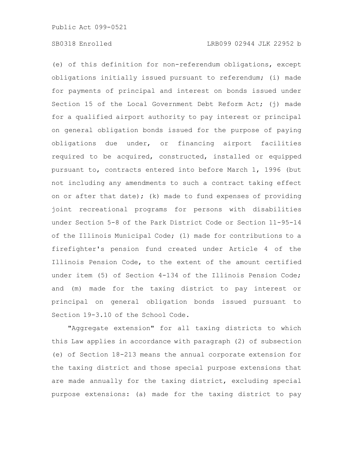(e) of this definition for non-referendum obligations, except obligations initially issued pursuant to referendum; (i) made for payments of principal and interest on bonds issued under Section 15 of the Local Government Debt Reform Act; (j) made for a qualified airport authority to pay interest or principal on general obligation bonds issued for the purpose of paying obligations due under, or financing airport facilities required to be acquired, constructed, installed or equipped pursuant to, contracts entered into before March 1, 1996 (but not including any amendments to such a contract taking effect on or after that date); (k) made to fund expenses of providing joint recreational programs for persons with disabilities under Section 5-8 of the Park District Code or Section 11-95-14 of the Illinois Municipal Code; (l) made for contributions to a firefighter's pension fund created under Article 4 of the Illinois Pension Code, to the extent of the amount certified under item (5) of Section 4-134 of the Illinois Pension Code; and (m) made for the taxing district to pay interest or principal on general obligation bonds issued pursuant to Section 19-3.10 of the School Code.

"Aggregate extension" for all taxing districts to which this Law applies in accordance with paragraph (2) of subsection (e) of Section 18-213 means the annual corporate extension for the taxing district and those special purpose extensions that are made annually for the taxing district, excluding special purpose extensions: (a) made for the taxing district to pay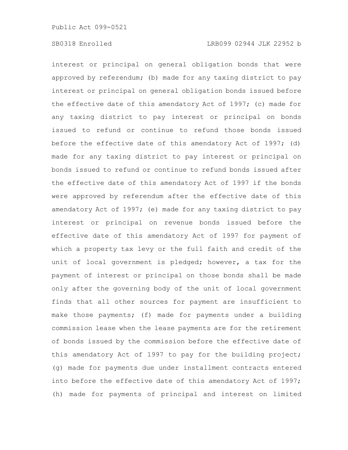interest or principal on general obligation bonds that were approved by referendum; (b) made for any taxing district to pay interest or principal on general obligation bonds issued before the effective date of this amendatory Act of 1997; (c) made for any taxing district to pay interest or principal on bonds issued to refund or continue to refund those bonds issued before the effective date of this amendatory Act of 1997; (d) made for any taxing district to pay interest or principal on bonds issued to refund or continue to refund bonds issued after the effective date of this amendatory Act of 1997 if the bonds were approved by referendum after the effective date of this amendatory Act of 1997; (e) made for any taxing district to pay interest or principal on revenue bonds issued before the effective date of this amendatory Act of 1997 for payment of which a property tax levy or the full faith and credit of the unit of local government is pledged; however, a tax for the payment of interest or principal on those bonds shall be made only after the governing body of the unit of local government finds that all other sources for payment are insufficient to make those payments; (f) made for payments under a building commission lease when the lease payments are for the retirement of bonds issued by the commission before the effective date of this amendatory Act of 1997 to pay for the building project; (g) made for payments due under installment contracts entered into before the effective date of this amendatory Act of 1997; (h) made for payments of principal and interest on limited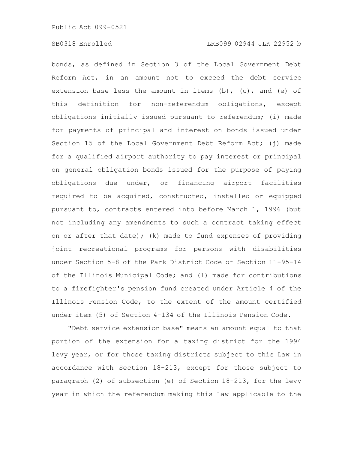bonds, as defined in Section 3 of the Local Government Debt Reform Act, in an amount not to exceed the debt service extension base less the amount in items (b), (c), and (e) of this definition for non-referendum obligations, except obligations initially issued pursuant to referendum; (i) made for payments of principal and interest on bonds issued under Section 15 of the Local Government Debt Reform Act; (j) made for a qualified airport authority to pay interest or principal on general obligation bonds issued for the purpose of paying obligations due under, or financing airport facilities required to be acquired, constructed, installed or equipped pursuant to, contracts entered into before March 1, 1996 (but not including any amendments to such a contract taking effect on or after that date); (k) made to fund expenses of providing joint recreational programs for persons with disabilities under Section 5-8 of the Park District Code or Section 11-95-14 of the Illinois Municipal Code; and (l) made for contributions to a firefighter's pension fund created under Article 4 of the Illinois Pension Code, to the extent of the amount certified under item (5) of Section 4-134 of the Illinois Pension Code.

"Debt service extension base" means an amount equal to that portion of the extension for a taxing district for the 1994 levy year, or for those taxing districts subject to this Law in accordance with Section 18-213, except for those subject to paragraph (2) of subsection (e) of Section 18-213, for the levy year in which the referendum making this Law applicable to the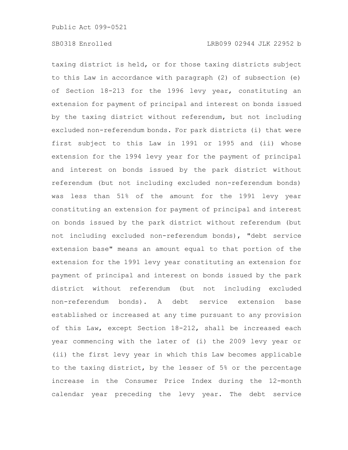taxing district is held, or for those taxing districts subject to this Law in accordance with paragraph (2) of subsection (e) of Section 18-213 for the 1996 levy year, constituting an extension for payment of principal and interest on bonds issued by the taxing district without referendum, but not including excluded non-referendum bonds. For park districts (i) that were first subject to this Law in 1991 or 1995 and (ii) whose extension for the 1994 levy year for the payment of principal and interest on bonds issued by the park district without referendum (but not including excluded non-referendum bonds) was less than 51% of the amount for the 1991 levy year constituting an extension for payment of principal and interest on bonds issued by the park district without referendum (but not including excluded non-referendum bonds), "debt service extension base" means an amount equal to that portion of the extension for the 1991 levy year constituting an extension for payment of principal and interest on bonds issued by the park district without referendum (but not including excluded non-referendum bonds). A debt service extension base established or increased at any time pursuant to any provision of this Law, except Section 18-212, shall be increased each year commencing with the later of (i) the 2009 levy year or (ii) the first levy year in which this Law becomes applicable to the taxing district, by the lesser of 5% or the percentage increase in the Consumer Price Index during the 12-month calendar year preceding the levy year. The debt service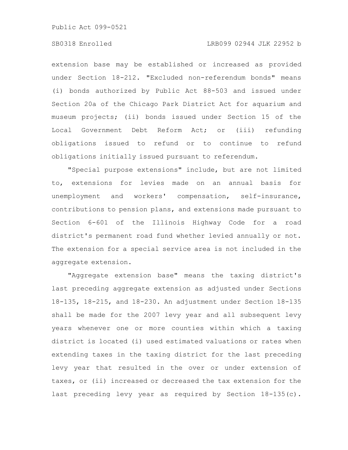## SB0318 Enrolled LRB099 02944 JLK 22952 b

extension base may be established or increased as provided under Section 18-212. "Excluded non-referendum bonds" means (i) bonds authorized by Public Act 88-503 and issued under Section 20a of the Chicago Park District Act for aquarium and museum projects; (ii) bonds issued under Section 15 of the Local Government Debt Reform Act; or (iii) refunding obligations issued to refund or to continue to refund obligations initially issued pursuant to referendum.

"Special purpose extensions" include, but are not limited to, extensions for levies made on an annual basis for unemployment and workers' compensation, self-insurance, contributions to pension plans, and extensions made pursuant to Section 6-601 of the Illinois Highway Code for a road district's permanent road fund whether levied annually or not. The extension for a special service area is not included in the aggregate extension.

"Aggregate extension base" means the taxing district's last preceding aggregate extension as adjusted under Sections 18-135, 18-215, and 18-230. An adjustment under Section 18-135 shall be made for the 2007 levy year and all subsequent levy years whenever one or more counties within which a taxing district is located (i) used estimated valuations or rates when extending taxes in the taxing district for the last preceding levy year that resulted in the over or under extension of taxes, or (ii) increased or decreased the tax extension for the last preceding levy year as required by Section 18-135(c).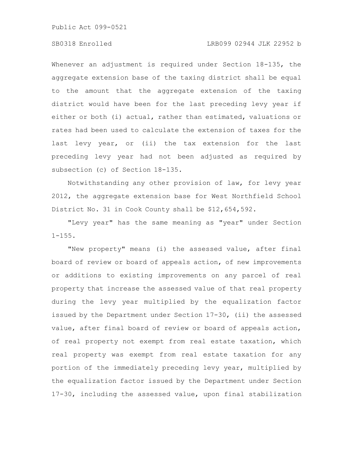#### SB0318 Enrolled LRB099 02944 JLK 22952 b

Whenever an adjustment is required under Section 18-135, the aggregate extension base of the taxing district shall be equal to the amount that the aggregate extension of the taxing district would have been for the last preceding levy year if either or both (i) actual, rather than estimated, valuations or rates had been used to calculate the extension of taxes for the last levy year, or (ii) the tax extension for the last preceding levy year had not been adjusted as required by subsection (c) of Section 18-135.

Notwithstanding any other provision of law, for levy year 2012, the aggregate extension base for West Northfield School District No. 31 in Cook County shall be \$12,654,592.

"Levy year" has the same meaning as "year" under Section  $1 - 155$ .

"New property" means (i) the assessed value, after final board of review or board of appeals action, of new improvements or additions to existing improvements on any parcel of real property that increase the assessed value of that real property during the levy year multiplied by the equalization factor issued by the Department under Section 17-30, (ii) the assessed value, after final board of review or board of appeals action, of real property not exempt from real estate taxation, which real property was exempt from real estate taxation for any portion of the immediately preceding levy year, multiplied by the equalization factor issued by the Department under Section 17-30, including the assessed value, upon final stabilization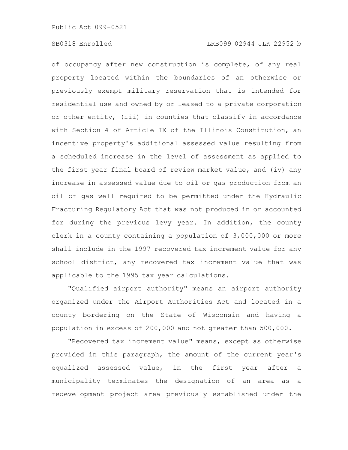of occupancy after new construction is complete, of any real property located within the boundaries of an otherwise or previously exempt military reservation that is intended for residential use and owned by or leased to a private corporation or other entity, (iii) in counties that classify in accordance with Section 4 of Article IX of the Illinois Constitution, an incentive property's additional assessed value resulting from a scheduled increase in the level of assessment as applied to the first year final board of review market value, and (iv) any increase in assessed value due to oil or gas production from an oil or gas well required to be permitted under the Hydraulic Fracturing Regulatory Act that was not produced in or accounted for during the previous levy year. In addition, the county clerk in a county containing a population of 3,000,000 or more shall include in the 1997 recovered tax increment value for any school district, any recovered tax increment value that was applicable to the 1995 tax year calculations.

"Qualified airport authority" means an airport authority organized under the Airport Authorities Act and located in a county bordering on the State of Wisconsin and having a population in excess of 200,000 and not greater than 500,000.

"Recovered tax increment value" means, except as otherwise provided in this paragraph, the amount of the current year's equalized assessed value, in the first year after a municipality terminates the designation of an area as a redevelopment project area previously established under the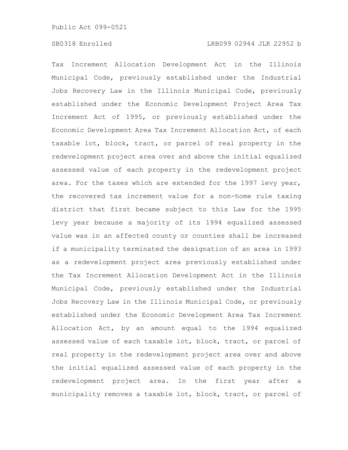Tax Increment Allocation Development Act in the Illinois Municipal Code, previously established under the Industrial Jobs Recovery Law in the Illinois Municipal Code, previously established under the Economic Development Project Area Tax Increment Act of 1995, or previously established under the Economic Development Area Tax Increment Allocation Act, of each taxable lot, block, tract, or parcel of real property in the redevelopment project area over and above the initial equalized assessed value of each property in the redevelopment project area. For the taxes which are extended for the 1997 levy year, the recovered tax increment value for a non-home rule taxing district that first became subject to this Law for the 1995 levy year because a majority of its 1994 equalized assessed value was in an affected county or counties shall be increased if a municipality terminated the designation of an area in 1993 as a redevelopment project area previously established under the Tax Increment Allocation Development Act in the Illinois Municipal Code, previously established under the Industrial Jobs Recovery Law in the Illinois Municipal Code, or previously established under the Economic Development Area Tax Increment Allocation Act, by an amount equal to the 1994 equalized assessed value of each taxable lot, block, tract, or parcel of real property in the redevelopment project area over and above the initial equalized assessed value of each property in the redevelopment project area. In the first year after a municipality removes a taxable lot, block, tract, or parcel of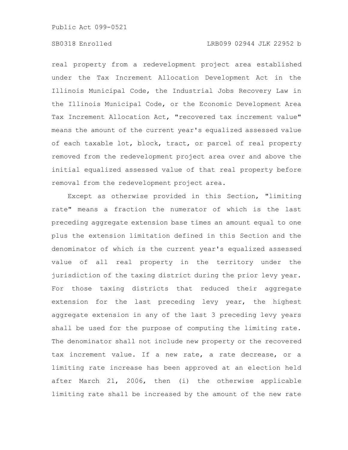## SB0318 Enrolled LRB099 02944 JLK 22952 b

real property from a redevelopment project area established under the Tax Increment Allocation Development Act in the Illinois Municipal Code, the Industrial Jobs Recovery Law in the Illinois Municipal Code, or the Economic Development Area Tax Increment Allocation Act, "recovered tax increment value" means the amount of the current year's equalized assessed value of each taxable lot, block, tract, or parcel of real property removed from the redevelopment project area over and above the initial equalized assessed value of that real property before removal from the redevelopment project area.

Except as otherwise provided in this Section, "limiting rate" means a fraction the numerator of which is the last preceding aggregate extension base times an amount equal to one plus the extension limitation defined in this Section and the denominator of which is the current year's equalized assessed value of all real property in the territory under the jurisdiction of the taxing district during the prior levy year. For those taxing districts that reduced their aggregate extension for the last preceding levy year, the highest aggregate extension in any of the last 3 preceding levy years shall be used for the purpose of computing the limiting rate. The denominator shall not include new property or the recovered tax increment value. If a new rate, a rate decrease, or a limiting rate increase has been approved at an election held after March 21, 2006, then (i) the otherwise applicable limiting rate shall be increased by the amount of the new rate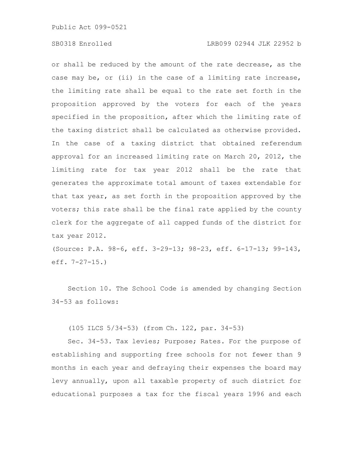#### SB0318 Enrolled LRB099 02944 JLK 22952 b

or shall be reduced by the amount of the rate decrease, as the case may be, or (ii) in the case of a limiting rate increase, the limiting rate shall be equal to the rate set forth in the proposition approved by the voters for each of the years specified in the proposition, after which the limiting rate of the taxing district shall be calculated as otherwise provided. In the case of a taxing district that obtained referendum approval for an increased limiting rate on March 20, 2012, the limiting rate for tax year 2012 shall be the rate that generates the approximate total amount of taxes extendable for that tax year, as set forth in the proposition approved by the voters; this rate shall be the final rate applied by the county clerk for the aggregate of all capped funds of the district for tax year 2012.

(Source: P.A. 98-6, eff. 3-29-13; 98-23, eff. 6-17-13; 99-143, eff. 7-27-15.)

Section 10. The School Code is amended by changing Section 34-53 as follows:

(105 ILCS 5/34-53) (from Ch. 122, par. 34-53)

Sec. 34-53. Tax levies; Purpose; Rates. For the purpose of establishing and supporting free schools for not fewer than 9 months in each year and defraying their expenses the board may levy annually, upon all taxable property of such district for educational purposes a tax for the fiscal years 1996 and each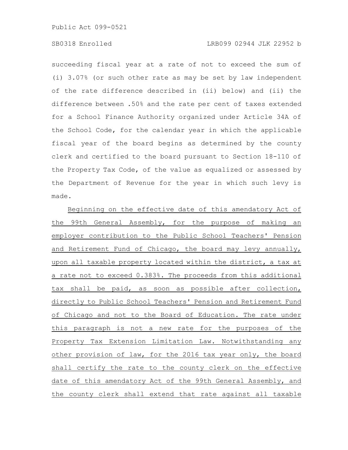## SB0318 Enrolled LRB099 02944 JLK 22952 b

succeeding fiscal year at a rate of not to exceed the sum of (i) 3.07% (or such other rate as may be set by law independent of the rate difference described in (ii) below) and (ii) the difference between .50% and the rate per cent of taxes extended for a School Finance Authority organized under Article 34A of the School Code, for the calendar year in which the applicable fiscal year of the board begins as determined by the county clerk and certified to the board pursuant to Section 18-110 of the Property Tax Code, of the value as equalized or assessed by the Department of Revenue for the year in which such levy is made.

Beginning on the effective date of this amendatory Act of the 99th General Assembly, for the purpose of making an employer contribution to the Public School Teachers' Pension and Retirement Fund of Chicago, the board may levy annually, upon all taxable property located within the district, a tax at a rate not to exceed 0.383%. The proceeds from this additional tax shall be paid, as soon as possible after collection, directly to Public School Teachers' Pension and Retirement Fund of Chicago and not to the Board of Education. The rate under this paragraph is not a new rate for the purposes of the Property Tax Extension Limitation Law. Notwithstanding any other provision of law, for the 2016 tax year only, the board shall certify the rate to the county clerk on the effective date of this amendatory Act of the 99th General Assembly, and the county clerk shall extend that rate against all taxable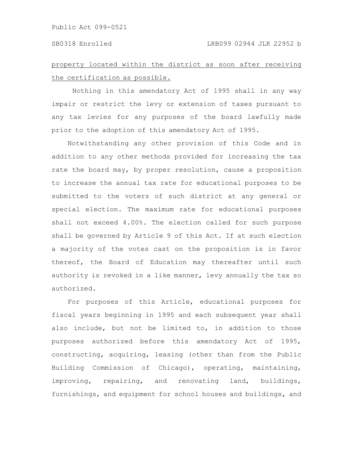# property located within the district as soon after receiving the certification as possible.

Nothing in this amendatory Act of 1995 shall in any way impair or restrict the levy or extension of taxes pursuant to any tax levies for any purposes of the board lawfully made prior to the adoption of this amendatory Act of 1995.

Notwithstanding any other provision of this Code and in addition to any other methods provided for increasing the tax rate the board may, by proper resolution, cause a proposition to increase the annual tax rate for educational purposes to be submitted to the voters of such district at any general or special election. The maximum rate for educational purposes shall not exceed 4.00%. The election called for such purpose shall be governed by Article 9 of this Act. If at such election a majority of the votes cast on the proposition is in favor thereof, the Board of Education may thereafter until such authority is revoked in a like manner, levy annually the tax so authorized.

For purposes of this Article, educational purposes for fiscal years beginning in 1995 and each subsequent year shall also include, but not be limited to, in addition to those purposes authorized before this amendatory Act of 1995, constructing, acquiring, leasing (other than from the Public Building Commission of Chicago), operating, maintaining, improving, repairing, and renovating land, buildings, furnishings, and equipment for school houses and buildings, and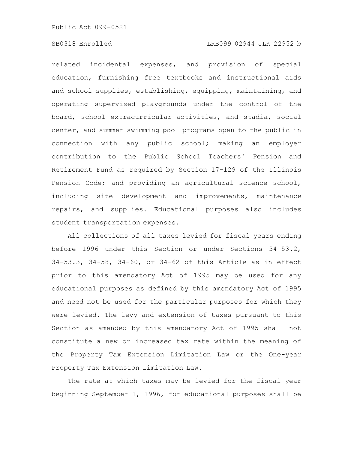## SB0318 Enrolled LRB099 02944 JLK 22952 b

related incidental expenses, and provision of special education, furnishing free textbooks and instructional aids and school supplies, establishing, equipping, maintaining, and operating supervised playgrounds under the control of the board, school extracurricular activities, and stadia, social center, and summer swimming pool programs open to the public in connection with any public school; making an employer contribution to the Public School Teachers' Pension and Retirement Fund as required by Section 17-129 of the Illinois Pension Code; and providing an agricultural science school, including site development and improvements, maintenance repairs, and supplies. Educational purposes also includes student transportation expenses.

All collections of all taxes levied for fiscal years ending before 1996 under this Section or under Sections 34-53.2, 34-53.3, 34-58, 34-60, or 34-62 of this Article as in effect prior to this amendatory Act of 1995 may be used for any educational purposes as defined by this amendatory Act of 1995 and need not be used for the particular purposes for which they were levied. The levy and extension of taxes pursuant to this Section as amended by this amendatory Act of 1995 shall not constitute a new or increased tax rate within the meaning of the Property Tax Extension Limitation Law or the One-year Property Tax Extension Limitation Law.

The rate at which taxes may be levied for the fiscal year beginning September 1, 1996, for educational purposes shall be